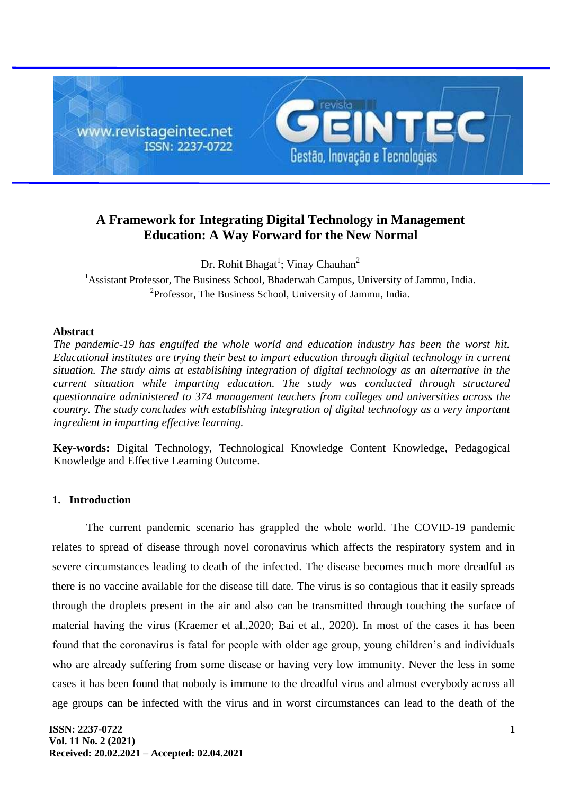

# **A Framework for Integrating Digital Technology in Management Education: A Way Forward for the New Normal**

Dr. Rohit Bhagat<sup>1</sup>; Vinay Chauhan<sup>2</sup>

<sup>1</sup>Assistant Professor, The Business School, Bhaderwah Campus, University of Jammu, [India.](https://en.wikipedia.org/wiki/India) <sup>2</sup>Professor, The Business School, University of Jammu, [India.](https://en.wikipedia.org/wiki/India)

### **Abstract**

*The pandemic-19 has engulfed the whole world and education industry has been the worst hit. Educational institutes are trying their best to impart education through digital technology in current situation. The study aims at establishing integration of digital technology as an alternative in the current situation while imparting education. The study was conducted through structured questionnaire administered to 374 management teachers from colleges and universities across the country. The study concludes with establishing integration of digital technology as a very important ingredient in imparting effective learning.*

**Key-words:** Digital Technology, Technological Knowledge Content Knowledge, Pedagogical Knowledge and Effective Learning Outcome.

## **1. Introduction**

The current pandemic scenario has grappled the whole world. The COVID-19 pandemic relates to spread of disease through novel coronavirus which affects the respiratory system and in severe circumstances leading to death of the infected. The disease becomes much more dreadful as there is no vaccine available for the disease till date. The virus is so contagious that it easily spreads through the droplets present in the air and also can be transmitted through touching the surface of material having the virus (Kraemer et al.,2020; Bai et al., 2020). In most of the cases it has been found that the coronavirus is fatal for people with older age group, young children's and individuals who are already suffering from some disease or having very low immunity. Never the less in some cases it has been found that nobody is immune to the dreadful virus and almost everybody across all age groups can be infected with the virus and in worst circumstances can lead to the death of the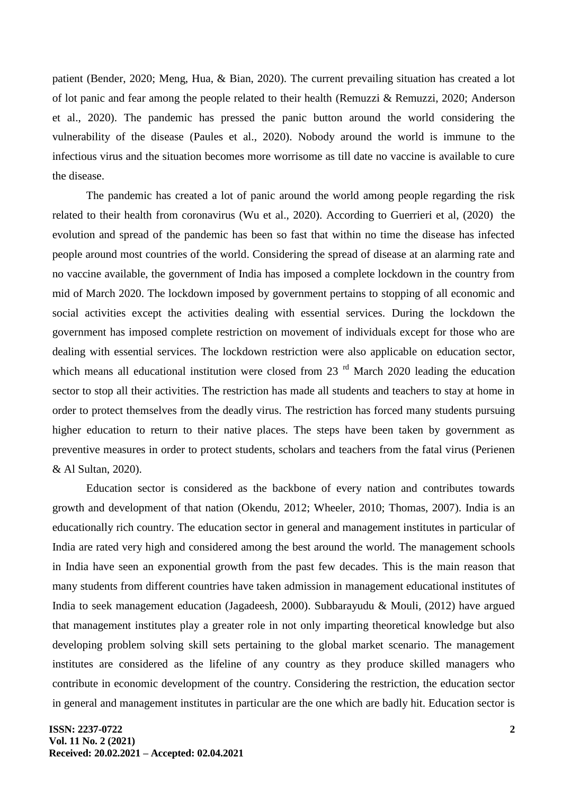patient (Bender, 2020; Meng, Hua, & Bian, 2020). The current prevailing situation has created a lot of lot panic and fear among the people related to their health (Remuzzi  $\&$  Remuzzi, 2020; Anderson et al., 2020). The pandemic has pressed the panic button around the world considering the vulnerability of the disease (Paules et al., 2020). Nobody around the world is immune to the infectious virus and the situation becomes more worrisome as till date no vaccine is available to cure the disease.

The pandemic has created a lot of panic around the world among people regarding the risk related to their health from coronavirus (Wu et al., 2020). According to Guerrieri et al, (2020) the evolution and spread of the pandemic has been so fast that within no time the disease has infected people around most countries of the world. Considering the spread of disease at an alarming rate and no vaccine available, the government of India has imposed a complete lockdown in the country from mid of March 2020. The lockdown imposed by government pertains to stopping of all economic and social activities except the activities dealing with essential services. During the lockdown the government has imposed complete restriction on movement of individuals except for those who are dealing with essential services. The lockdown restriction were also applicable on education sector, which means all educational institution were closed from  $23<sup>rd</sup>$  March 2020 leading the education sector to stop all their activities. The restriction has made all students and teachers to stay at home in order to protect themselves from the deadly virus. The restriction has forced many students pursuing higher education to return to their native places. The steps have been taken by government as preventive measures in order to protect students, scholars and teachers from the fatal virus (Perienen & Al Sultan, 2020).

Education sector is considered as the backbone of every nation and contributes towards growth and development of that nation (Okendu, 2012; Wheeler, 2010; Thomas, 2007). India is an educationally rich country. The education sector in general and management institutes in particular of India are rated very high and considered among the best around the world. The management schools in India have seen an exponential growth from the past few decades. This is the main reason that many students from different countries have taken admission in management educational institutes of India to seek management education (Jagadeesh, 2000). Subbarayudu & Mouli, (2012) have argued that management institutes play a greater role in not only imparting theoretical knowledge but also developing problem solving skill sets pertaining to the global market scenario. The management institutes are considered as the lifeline of any country as they produce skilled managers who contribute in economic development of the country. Considering the restriction, the education sector in general and management institutes in particular are the one which are badly hit. Education sector is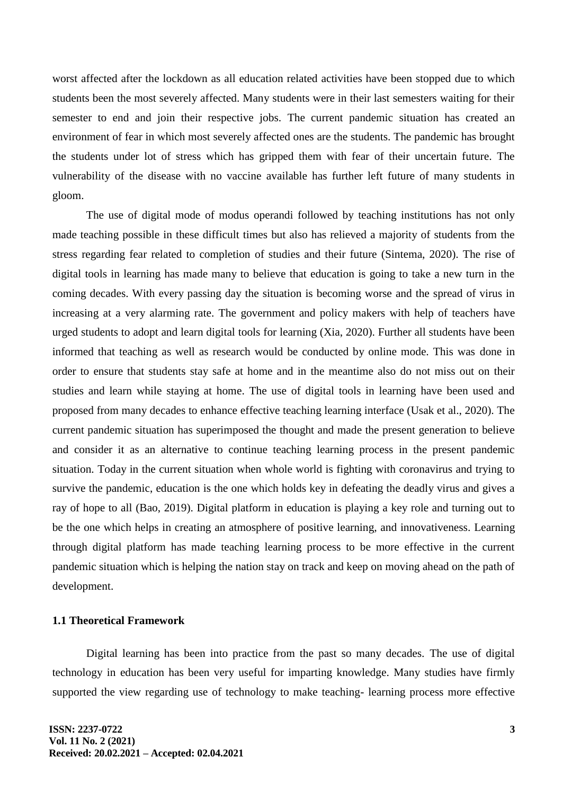worst affected after the lockdown as all education related activities have been stopped due to which students been the most severely affected. Many students were in their last semesters waiting for their semester to end and join their respective jobs. The current pandemic situation has created an environment of fear in which most severely affected ones are the students. The pandemic has brought the students under lot of stress which has gripped them with fear of their uncertain future. The vulnerability of the disease with no vaccine available has further left future of many students in gloom.

The use of digital mode of modus operandi followed by teaching institutions has not only made teaching possible in these difficult times but also has relieved a majority of students from the stress regarding fear related to completion of studies and their future (Sintema, 2020). The rise of digital tools in learning has made many to believe that education is going to take a new turn in the coming decades. With every passing day the situation is becoming worse and the spread of virus in increasing at a very alarming rate. The government and policy makers with help of teachers have urged students to adopt and learn digital tools for learning (Xia, 2020). Further all students have been informed that teaching as well as research would be conducted by online mode. This was done in order to ensure that students stay safe at home and in the meantime also do not miss out on their studies and learn while staying at home. The use of digital tools in learning have been used and proposed from many decades to enhance effective teaching learning interface (Usak et al., 2020). The current pandemic situation has superimposed the thought and made the present generation to believe and consider it as an alternative to continue teaching learning process in the present pandemic situation. Today in the current situation when whole world is fighting with coronavirus and trying to survive the pandemic, education is the one which holds key in defeating the deadly virus and gives a ray of hope to all (Bao, 2019). Digital platform in education is playing a key role and turning out to be the one which helps in creating an atmosphere of positive learning, and innovativeness. Learning through digital platform has made teaching learning process to be more effective in the current pandemic situation which is helping the nation stay on track and keep on moving ahead on the path of development.

## **1.1 Theoretical Framework**

Digital learning has been into practice from the past so many decades. The use of digital technology in education has been very useful for imparting knowledge. Many studies have firmly supported the view regarding use of technology to make teaching- learning process more effective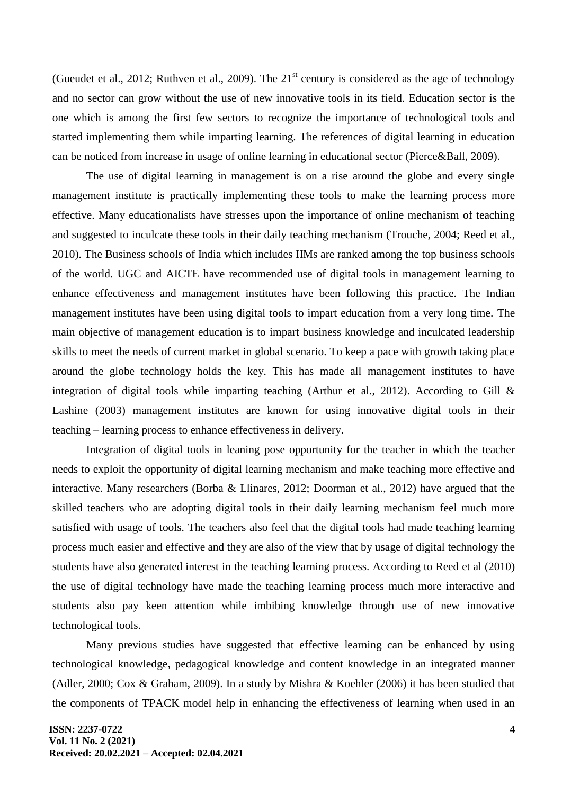(Gueudet et al., 2012; Ruthven et al., 2009). The  $21<sup>st</sup>$  century is considered as the age of technology and no sector can grow without the use of new innovative tools in its field. Education sector is the one which is among the first few sectors to recognize the importance of technological tools and started implementing them while imparting learning. The references of digital learning in education can be noticed from increase in usage of online learning in educational sector (Pierce&Ball, 2009).

The use of digital learning in management is on a rise around the globe and every single management institute is practically implementing these tools to make the learning process more effective. Many educationalists have stresses upon the importance of online mechanism of teaching and suggested to inculcate these tools in their daily teaching mechanism (Trouche, 2004; Reed et al., 2010). The Business schools of India which includes IIMs are ranked among the top business schools of the world. UGC and AICTE have recommended use of digital tools in management learning to enhance effectiveness and management institutes have been following this practice. The Indian management institutes have been using digital tools to impart education from a very long time. The main objective of management education is to impart business knowledge and inculcated leadership skills to meet the needs of current market in global scenario. To keep a pace with growth taking place around the globe technology holds the key. This has made all management institutes to have integration of digital tools while imparting teaching (Arthur et al., 2012). According to Gill  $\&$ Lashine (2003) management institutes are known for using innovative digital tools in their teaching – learning process to enhance effectiveness in delivery.

Integration of digital tools in leaning pose opportunity for the teacher in which the teacher needs to exploit the opportunity of digital learning mechanism and make teaching more effective and interactive. Many researchers (Borba & Llinares, 2012; Doorman et al., 2012) have argued that the skilled teachers who are adopting digital tools in their daily learning mechanism feel much more satisfied with usage of tools. The teachers also feel that the digital tools had made teaching learning process much easier and effective and they are also of the view that by usage of digital technology the students have also generated interest in the teaching learning process. According to Reed et al (2010) the use of digital technology have made the teaching learning process much more interactive and students also pay keen attention while imbibing knowledge through use of new innovative technological tools.

Many previous studies have suggested that effective learning can be enhanced by using technological knowledge, pedagogical knowledge and content knowledge in an integrated manner (Adler, 2000; Cox & Graham, 2009). In a study by Mishra & Koehler (2006) it has been studied that the components of TPACK model help in enhancing the effectiveness of learning when used in an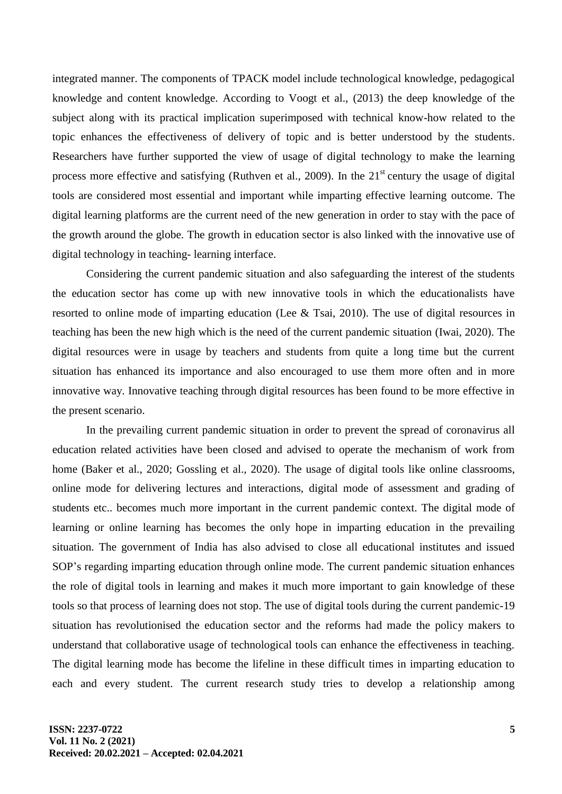integrated manner. The components of TPACK model include technological knowledge, pedagogical knowledge and content knowledge. According to Voogt et al., (2013) the deep knowledge of the subject along with its practical implication superimposed with technical know-how related to the topic enhances the effectiveness of delivery of topic and is better understood by the students. Researchers have further supported the view of usage of digital technology to make the learning process more effective and satisfying (Ruthven et al., 2009). In the  $21<sup>st</sup>$  century the usage of digital tools are considered most essential and important while imparting effective learning outcome. The digital learning platforms are the current need of the new generation in order to stay with the pace of the growth around the globe. The growth in education sector is also linked with the innovative use of digital technology in teaching- learning interface.

Considering the current pandemic situation and also safeguarding the interest of the students the education sector has come up with new innovative tools in which the educationalists have resorted to online mode of imparting education (Lee & Tsai, 2010). The use of digital resources in teaching has been the new high which is the need of the current pandemic situation (Iwai, 2020). The digital resources were in usage by teachers and students from quite a long time but the current situation has enhanced its importance and also encouraged to use them more often and in more innovative way. Innovative teaching through digital resources has been found to be more effective in the present scenario.

In the prevailing current pandemic situation in order to prevent the spread of coronavirus all education related activities have been closed and advised to operate the mechanism of work from home (Baker et al., 2020; Gossling et al., 2020). The usage of digital tools like online classrooms, online mode for delivering lectures and interactions, digital mode of assessment and grading of students etc.. becomes much more important in the current pandemic context. The digital mode of learning or online learning has becomes the only hope in imparting education in the prevailing situation. The government of India has also advised to close all educational institutes and issued SOP's regarding imparting education through online mode. The current pandemic situation enhances the role of digital tools in learning and makes it much more important to gain knowledge of these tools so that process of learning does not stop. The use of digital tools during the current pandemic-19 situation has revolutionised the education sector and the reforms had made the policy makers to understand that collaborative usage of technological tools can enhance the effectiveness in teaching. The digital learning mode has become the lifeline in these difficult times in imparting education to each and every student. The current research study tries to develop a relationship among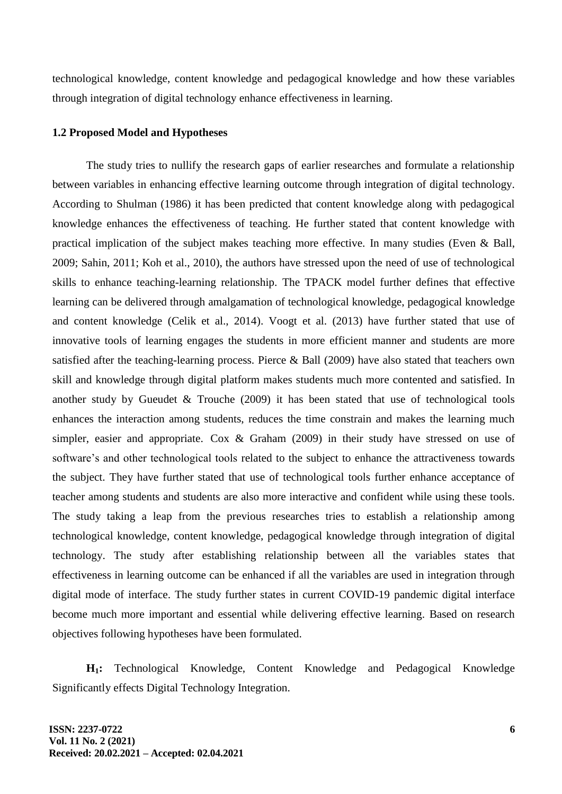technological knowledge, content knowledge and pedagogical knowledge and how these variables through integration of digital technology enhance effectiveness in learning.

#### **1.2 Proposed Model and Hypotheses**

The study tries to nullify the research gaps of earlier researches and formulate a relationship between variables in enhancing effective learning outcome through integration of digital technology. According to Shulman (1986) it has been predicted that content knowledge along with pedagogical knowledge enhances the effectiveness of teaching. He further stated that content knowledge with practical implication of the subject makes teaching more effective. In many studies (Even & Ball, 2009; Sahin, 2011; Koh et al., 2010), the authors have stressed upon the need of use of technological skills to enhance teaching-learning relationship. The TPACK model further defines that effective learning can be delivered through amalgamation of technological knowledge, pedagogical knowledge and content knowledge (Celik et al., 2014). Voogt et al. (2013) have further stated that use of innovative tools of learning engages the students in more efficient manner and students are more satisfied after the teaching-learning process. Pierce & Ball (2009) have also stated that teachers own skill and knowledge through digital platform makes students much more contented and satisfied. In another study by Gueudet & Trouche (2009) it has been stated that use of technological tools enhances the interaction among students, reduces the time constrain and makes the learning much simpler, easier and appropriate. Cox & Graham (2009) in their study have stressed on use of software's and other technological tools related to the subject to enhance the attractiveness towards the subject. They have further stated that use of technological tools further enhance acceptance of teacher among students and students are also more interactive and confident while using these tools. The study taking a leap from the previous researches tries to establish a relationship among technological knowledge, content knowledge, pedagogical knowledge through integration of digital technology. The study after establishing relationship between all the variables states that effectiveness in learning outcome can be enhanced if all the variables are used in integration through digital mode of interface. The study further states in current COVID-19 pandemic digital interface become much more important and essential while delivering effective learning. Based on research objectives following hypotheses have been formulated.

**H1:** Technological Knowledge, Content Knowledge and Pedagogical Knowledge Significantly effects Digital Technology Integration.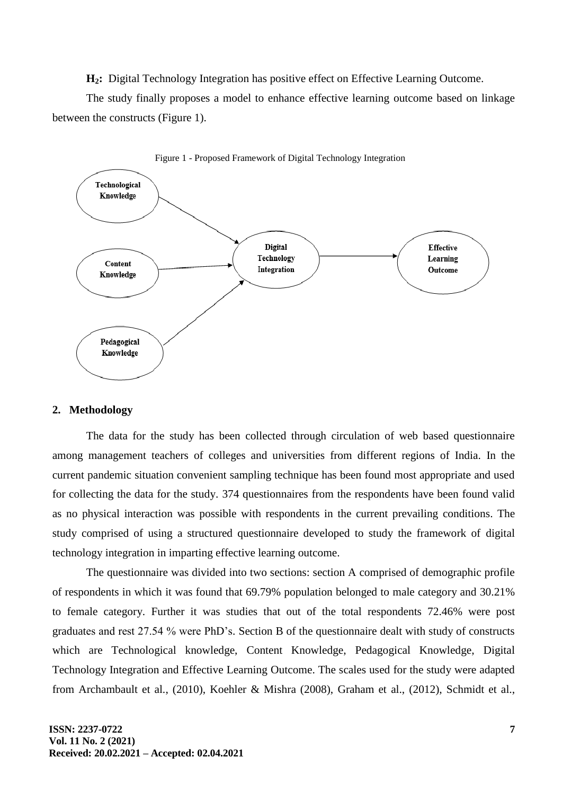**H2:** Digital Technology Integration has positive effect on Effective Learning Outcome.

The study finally proposes a model to enhance effective learning outcome based on linkage between the constructs (Figure 1).





#### **2. Methodology**

The data for the study has been collected through circulation of web based questionnaire among management teachers of colleges and universities from different regions of India. In the current pandemic situation convenient sampling technique has been found most appropriate and used for collecting the data for the study. 374 questionnaires from the respondents have been found valid as no physical interaction was possible with respondents in the current prevailing conditions. The study comprised of using a structured questionnaire developed to study the framework of digital technology integration in imparting effective learning outcome.

The questionnaire was divided into two sections: section A comprised of demographic profile of respondents in which it was found that 69.79% population belonged to male category and 30.21% to female category. Further it was studies that out of the total respondents 72.46% were post graduates and rest 27.54 % were PhD's. Section B of the questionnaire dealt with study of constructs which are Technological knowledge, Content Knowledge, Pedagogical Knowledge, Digital Technology Integration and Effective Learning Outcome. The scales used for the study were adapted from Archambault et al., (2010), Koehler & Mishra (2008), Graham et al., (2012), Schmidt et al.,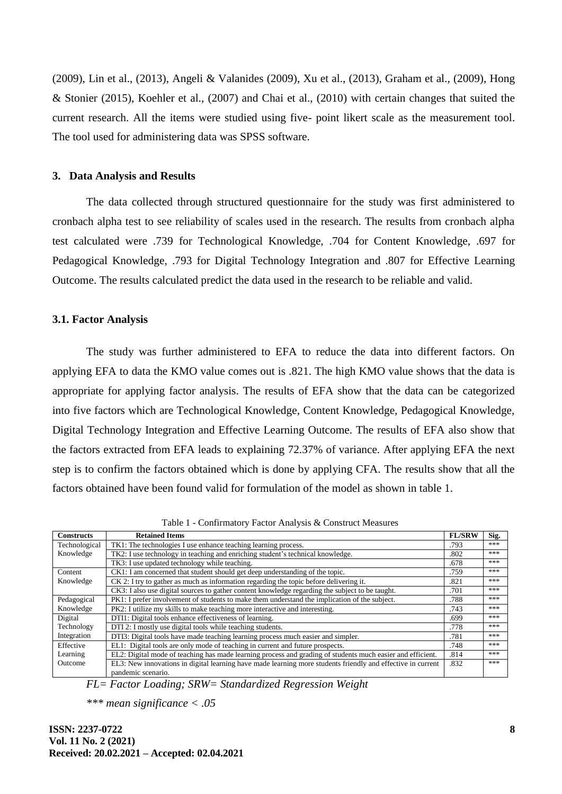(2009), Lin et al., (2013), Angeli & Valanides (2009), Xu et al., (2013), Graham et al., (2009), Hong & Stonier (2015), Koehler et al., (2007) and Chai et al., (2010) with certain changes that suited the current research. All the items were studied using five- point likert scale as the measurement tool. The tool used for administering data was SPSS software.

#### **3. Data Analysis and Results**

The data collected through structured questionnaire for the study was first administered to cronbach alpha test to see reliability of scales used in the research. The results from cronbach alpha test calculated were .739 for Technological Knowledge, .704 for Content Knowledge, .697 for Pedagogical Knowledge, .793 for Digital Technology Integration and .807 for Effective Learning Outcome. The results calculated predict the data used in the research to be reliable and valid.

#### **3.1. Factor Analysis**

The study was further administered to EFA to reduce the data into different factors. On applying EFA to data the KMO value comes out is .821. The high KMO value shows that the data is appropriate for applying factor analysis. The results of EFA show that the data can be categorized into five factors which are Technological Knowledge, Content Knowledge, Pedagogical Knowledge, Digital Technology Integration and Effective Learning Outcome. The results of EFA also show that the factors extracted from EFA leads to explaining 72.37% of variance. After applying EFA the next step is to confirm the factors obtained which is done by applying CFA. The results show that all the factors obtained have been found valid for formulation of the model as shown in table 1.

| <b>Constructs</b> | <b>Retained Items</b>                                                                                       |      |     |  |  |
|-------------------|-------------------------------------------------------------------------------------------------------------|------|-----|--|--|
| Technological     | TK1: The technologies I use enhance teaching learning process.                                              |      |     |  |  |
| Knowledge         | TK2: I use technology in teaching and enriching student's technical knowledge.                              |      |     |  |  |
|                   | TK3: I use updated technology while teaching.                                                               | .678 | *** |  |  |
| Content           | CK1: I am concerned that student should get deep understanding of the topic.                                | .759 | *** |  |  |
| Knowledge         | CK 2: I try to gather as much as information regarding the topic before delivering it.                      |      |     |  |  |
|                   | CK3: I also use digital sources to gather content knowledge regarding the subject to be taught.             | .701 | *** |  |  |
| Pedagogical       | PK1: I prefer involvement of students to make them understand the implication of the subject.               | .788 | *** |  |  |
| Knowledge         | PK2: I utilize my skills to make teaching more interactive and interesting.                                 | .743 | *** |  |  |
| Digital           | DTI1: Digital tools enhance effectiveness of learning.                                                      | .699 | *** |  |  |
| Technology        | DTI 2: I mostly use digital tools while teaching students.                                                  | .778 | *** |  |  |
| Integration       | DTI3: Digital tools have made teaching learning process much easier and simpler.                            | .781 | *** |  |  |
| Effective         | EL1: Digital tools are only mode of teaching in current and future prospects.                               | .748 | *** |  |  |
| Learning          | EL2: Digital mode of teaching has made learning process and grading of students much easier and efficient.  | .814 | *** |  |  |
| Outcome           | EL3: New innovations in digital learning have made learning more students friendly and effective in current |      |     |  |  |
|                   | pandemic scenario.                                                                                          |      |     |  |  |

Table 1 - Confirmatory Factor Analysis & Construct Measures

*FL= Factor Loading; SRW= Standardized Regression Weight*

*\*\*\* mean significance < .05*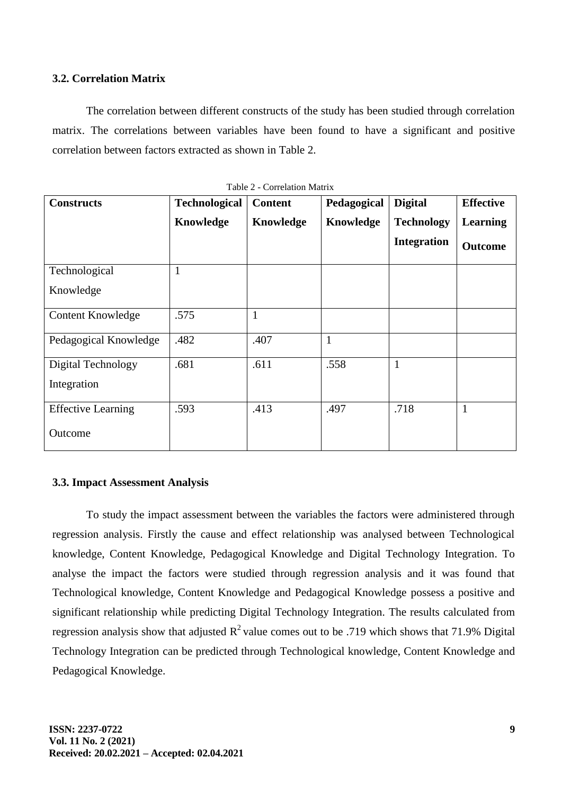## **3.2. Correlation Matrix**

The correlation between different constructs of the study has been studied through correlation matrix. The correlations between variables have been found to have a significant and positive correlation between factors extracted as shown in Table 2.

| <b>Constructs</b>         | <b>Technological</b> | <b>Content</b> | Pedagogical | <b>Digital</b>     | <b>Effective</b> |
|---------------------------|----------------------|----------------|-------------|--------------------|------------------|
|                           | Knowledge            | Knowledge      | Knowledge   | <b>Technology</b>  | <b>Learning</b>  |
|                           |                      |                |             | <b>Integration</b> | <b>Outcome</b>   |
| Technological             | 1                    |                |             |                    |                  |
| Knowledge                 |                      |                |             |                    |                  |
| Content Knowledge         | .575                 | $\mathbf{1}$   |             |                    |                  |
| Pedagogical Knowledge     | .482                 | .407           | 1           |                    |                  |
| Digital Technology        | .681                 | .611           | .558        | $\mathbf{1}$       |                  |
| Integration               |                      |                |             |                    |                  |
| <b>Effective Learning</b> | .593                 | .413           | .497        | .718               | $\mathbf{1}$     |
| Outcome                   |                      |                |             |                    |                  |

Table 2 - Correlation Matrix

## **3.3. Impact Assessment Analysis**

To study the impact assessment between the variables the factors were administered through regression analysis. Firstly the cause and effect relationship was analysed between Technological knowledge, Content Knowledge, Pedagogical Knowledge and Digital Technology Integration. To analyse the impact the factors were studied through regression analysis and it was found that Technological knowledge, Content Knowledge and Pedagogical Knowledge possess a positive and significant relationship while predicting Digital Technology Integration. The results calculated from regression analysis show that adjusted  $R^2$  value comes out to be .719 which shows that 71.9% Digital Technology Integration can be predicted through Technological knowledge, Content Knowledge and Pedagogical Knowledge.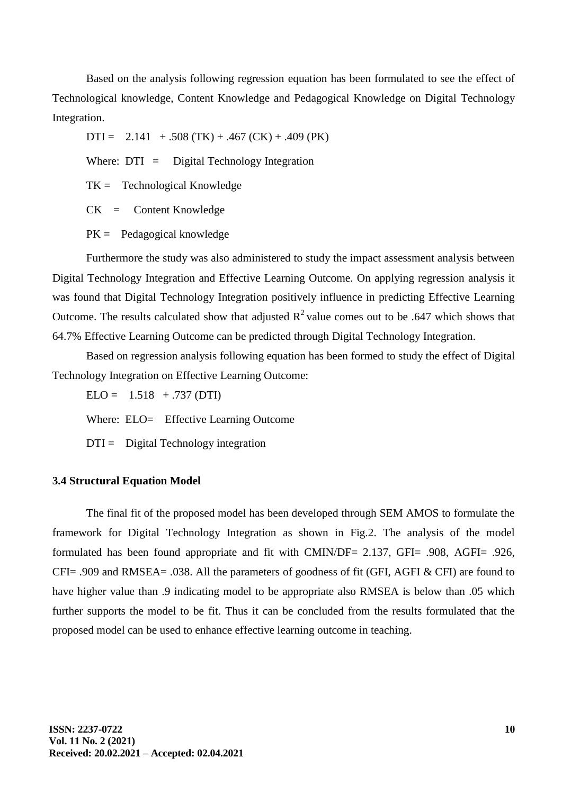Based on the analysis following regression equation has been formulated to see the effect of Technological knowledge, Content Knowledge and Pedagogical Knowledge on Digital Technology Integration.

 $DTI = 2.141 + .508 (TK) + .467 (CK) + .409 (PK)$ 

Where:  $DTI = Digital Technology Integration$ 

 $TK =$  Technological Knowledge

CK = Content Knowledge

 $PK =$  Pedagogical knowledge

Furthermore the study was also administered to study the impact assessment analysis between Digital Technology Integration and Effective Learning Outcome. On applying regression analysis it was found that Digital Technology Integration positively influence in predicting Effective Learning Outcome. The results calculated show that adjusted  $R^2$  value comes out to be .647 which shows that 64.7% Effective Learning Outcome can be predicted through Digital Technology Integration.

Based on regression analysis following equation has been formed to study the effect of Digital Technology Integration on Effective Learning Outcome:

 $ELO = 1.518 + .737$  (DTI)

Where: ELO= Effective Learning Outcome

 $DTI =$  Digital Technology integration

## **3.4 Structural Equation Model**

The final fit of the proposed model has been developed through SEM AMOS to formulate the framework for Digital Technology Integration as shown in Fig.2. The analysis of the model formulated has been found appropriate and fit with CMIN/DF= 2.137, GFI= .908, AGFI= .926, CFI= .909 and RMSEA= .038. All the parameters of goodness of fit (GFI, AGFI & CFI) are found to have higher value than .9 indicating model to be appropriate also RMSEA is below than .05 which further supports the model to be fit. Thus it can be concluded from the results formulated that the proposed model can be used to enhance effective learning outcome in teaching.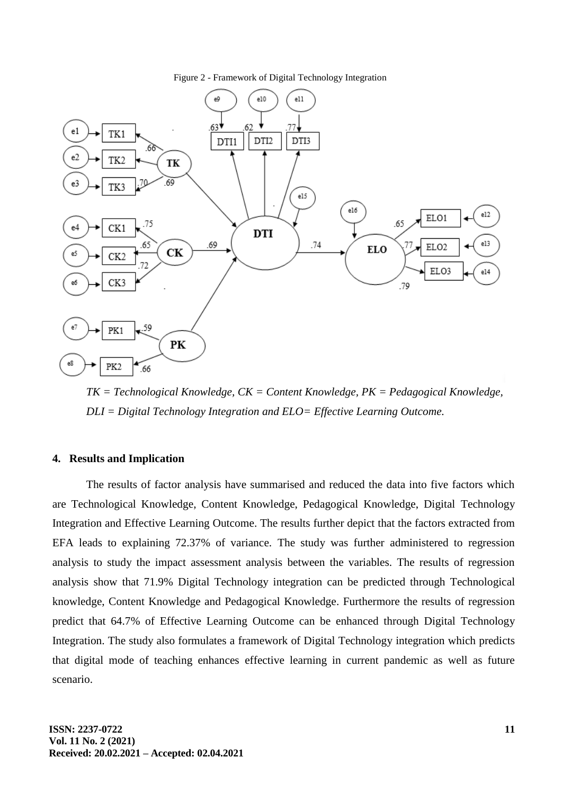Figure 2 - Framework of Digital Technology Integration



*TK = Technological Knowledge, CK = Content Knowledge, PK = Pedagogical Knowledge, DLI = Digital Technology Integration and ELO= Effective Learning Outcome.*

### **4. Results and Implication**

The results of factor analysis have summarised and reduced the data into five factors which are Technological Knowledge, Content Knowledge, Pedagogical Knowledge, Digital Technology Integration and Effective Learning Outcome. The results further depict that the factors extracted from EFA leads to explaining 72.37% of variance. The study was further administered to regression analysis to study the impact assessment analysis between the variables. The results of regression analysis show that 71.9% Digital Technology integration can be predicted through Technological knowledge, Content Knowledge and Pedagogical Knowledge. Furthermore the results of regression predict that 64.7% of Effective Learning Outcome can be enhanced through Digital Technology Integration. The study also formulates a framework of Digital Technology integration which predicts that digital mode of teaching enhances effective learning in current pandemic as well as future scenario.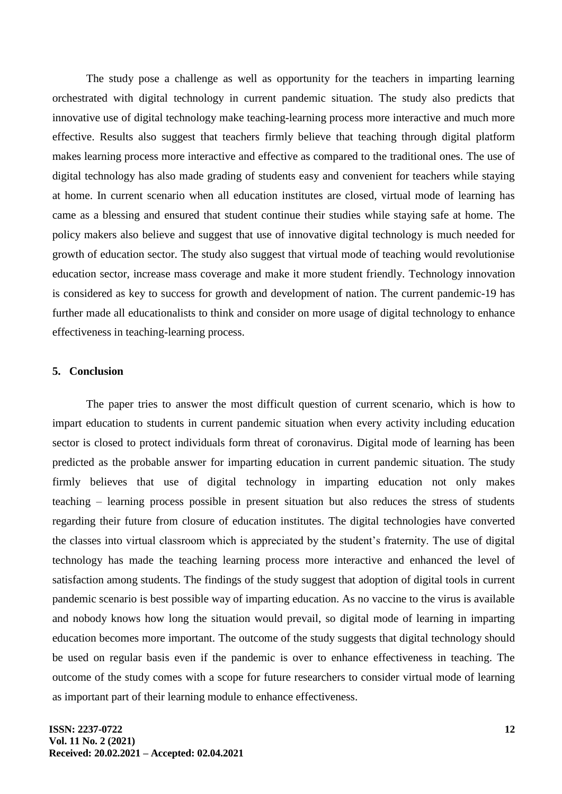The study pose a challenge as well as opportunity for the teachers in imparting learning orchestrated with digital technology in current pandemic situation. The study also predicts that innovative use of digital technology make teaching-learning process more interactive and much more effective. Results also suggest that teachers firmly believe that teaching through digital platform makes learning process more interactive and effective as compared to the traditional ones. The use of digital technology has also made grading of students easy and convenient for teachers while staying at home. In current scenario when all education institutes are closed, virtual mode of learning has came as a blessing and ensured that student continue their studies while staying safe at home. The policy makers also believe and suggest that use of innovative digital technology is much needed for growth of education sector. The study also suggest that virtual mode of teaching would revolutionise education sector, increase mass coverage and make it more student friendly. Technology innovation is considered as key to success for growth and development of nation. The current pandemic-19 has further made all educationalists to think and consider on more usage of digital technology to enhance effectiveness in teaching-learning process.

#### **5. Conclusion**

The paper tries to answer the most difficult question of current scenario, which is how to impart education to students in current pandemic situation when every activity including education sector is closed to protect individuals form threat of coronavirus. Digital mode of learning has been predicted as the probable answer for imparting education in current pandemic situation. The study firmly believes that use of digital technology in imparting education not only makes teaching – learning process possible in present situation but also reduces the stress of students regarding their future from closure of education institutes. The digital technologies have converted the classes into virtual classroom which is appreciated by the student's fraternity. The use of digital technology has made the teaching learning process more interactive and enhanced the level of satisfaction among students. The findings of the study suggest that adoption of digital tools in current pandemic scenario is best possible way of imparting education. As no vaccine to the virus is available and nobody knows how long the situation would prevail, so digital mode of learning in imparting education becomes more important. The outcome of the study suggests that digital technology should be used on regular basis even if the pandemic is over to enhance effectiveness in teaching. The outcome of the study comes with a scope for future researchers to consider virtual mode of learning as important part of their learning module to enhance effectiveness.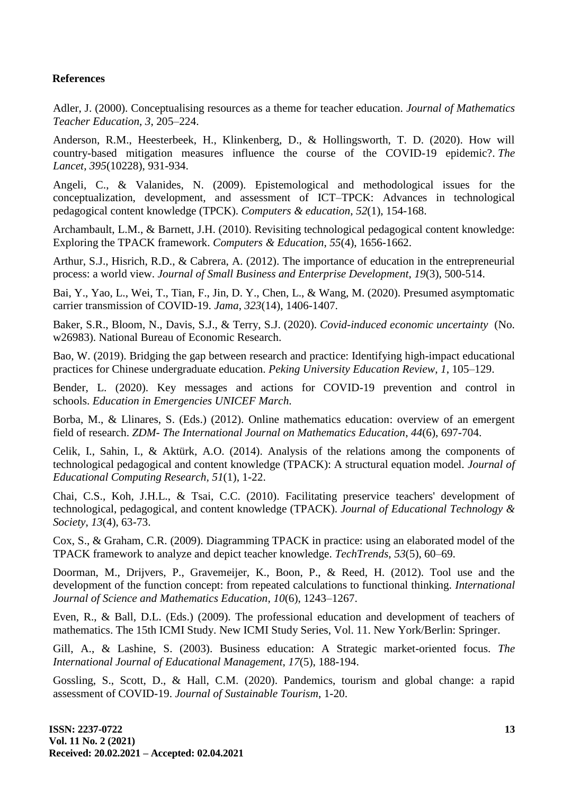## **References**

Adler, J. (2000). Conceptualising resources as a theme for teacher education. *Journal of Mathematics Teacher Education*, *3*, 205–224.

Anderson, R.M., Heesterbeek, H., Klinkenberg, D., & Hollingsworth, T. D. (2020). How will country-based mitigation measures influence the course of the COVID-19 epidemic?. *The Lancet*, *395*(10228), 931-934.

Angeli, C., & Valanides, N. (2009). Epistemological and methodological issues for the conceptualization, development, and assessment of ICT–TPCK: Advances in technological pedagogical content knowledge (TPCK). *Computers & education*, *52*(1), 154-168.

Archambault, L.M., & Barnett, J.H. (2010). Revisiting technological pedagogical content knowledge: Exploring the TPACK framework. *Computers & Education*, *55*(4), 1656-1662.

Arthur, S.J., Hisrich, R.D., & Cabrera, A. (2012). The importance of education in the entrepreneurial process: a world view. *Journal of Small Business and Enterprise Development*, *19*(3), 500-514.

Bai, Y., Yao, L., Wei, T., Tian, F., Jin, D. Y., Chen, L., & Wang, M. (2020). Presumed asymptomatic carrier transmission of COVID-19. *Jama*, *323*(14), 1406-1407.

Baker, S.R., Bloom, N., Davis, S.J., & Terry, S.J. (2020). *Covid-induced economic uncertainty* (No. w26983). National Bureau of Economic Research.

Bao, W. (2019). Bridging the gap between research and practice: Identifying high-impact educational practices for Chinese undergraduate education. *Peking University Education Review*, *1*, 105–129.

Bender, L. (2020). Key messages and actions for COVID-19 prevention and control in schools. *Education in Emergencies UNICEF March*.

Borba, M., & Llinares, S. (Eds.) (2012). Online mathematics education: overview of an emergent field of research. *ZDM- The International Journal on Mathematics Education*, *44*(6), 697-704.

Celik, I., Sahin, I., & Aktürk, A.O. (2014). Analysis of the relations among the components of technological pedagogical and content knowledge (TPACK): A structural equation model. *Journal of Educational Computing Research, 51*(1), 1-22.

Chai, C.S., Koh, J.H.L., & Tsai, C.C. (2010). Facilitating preservice teachers' development of technological, pedagogical, and content knowledge (TPACK). *Journal of Educational Technology & Society*, *13*(4), 63-73.

Cox, S., & Graham, C.R. (2009). Diagramming TPACK in practice: using an elaborated model of the TPACK framework to analyze and depict teacher knowledge. *TechTrends*, *53*(5), 60–69.

Doorman, M., Drijvers, P., Gravemeijer, K., Boon, P., & Reed, H. (2012). Tool use and the development of the function concept: from repeated calculations to functional thinking. *International Journal of Science and Mathematics Education*, *10*(6), 1243–1267.

Even, R., & Ball, D.L. (Eds.) (2009). The professional education and development of teachers of mathematics. The 15th ICMI Study. New ICMI Study Series, Vol. 11. New York/Berlin: Springer.

Gill, A., & Lashine, S. (2003). Business education: A Strategic market-oriented focus. *The International Journal of Educational Management*, *17*(5), 188-194.

Gossling, S., Scott, D., & Hall, C.M. (2020). Pandemics, tourism and global change: a rapid assessment of COVID-19. *Journal of Sustainable Tourism*, 1-20.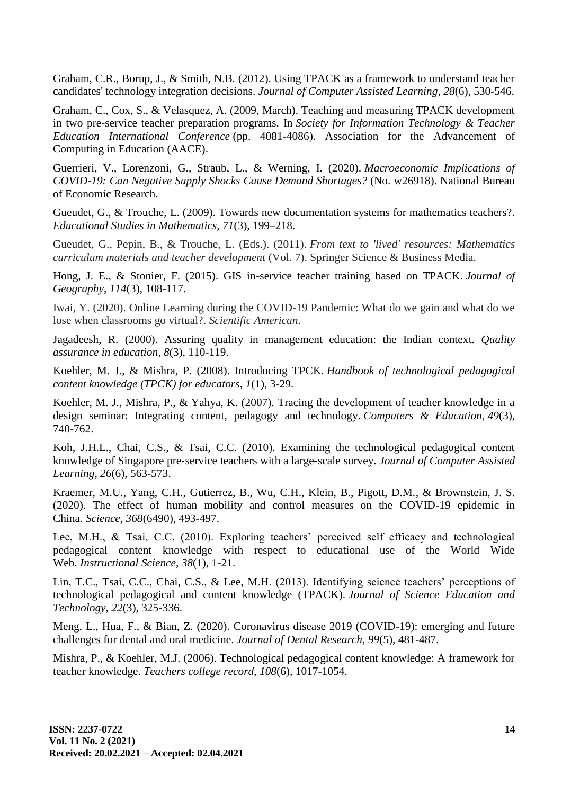Graham, C.R., Borup, J., & Smith, N.B. (2012). Using TPACK as a framework to understand teacher candidates' technology integration decisions. *Journal of Computer Assisted Learning*, *28*(6), 530-546.

Graham, C., Cox, S., & Velasquez, A. (2009, March). Teaching and measuring TPACK development in two pre-service teacher preparation programs. In *Society for Information Technology & Teacher Education International Conference* (pp. 4081-4086). Association for the Advancement of Computing in Education (AACE).

Guerrieri, V., Lorenzoni, G., Straub, L., & Werning, I. (2020). *Macroeconomic Implications of COVID-19: Can Negative Supply Shocks Cause Demand Shortages?* (No. w26918). National Bureau of Economic Research.

Gueudet, G., & Trouche, L. (2009). Towards new documentation systems for mathematics teachers?. *Educational Studies in Mathematics, 71*(3), 199–218.

Gueudet, G., Pepin, B., & Trouche, L. (Eds.). (2011). *From text to 'lived' resources: Mathematics curriculum materials and teacher development* (Vol. 7). Springer Science & Business Media.

Hong, J. E., & Stonier, F. (2015). GIS in-service teacher training based on TPACK. *Journal of Geography*, *114*(3), 108-117.

Iwai, Y. (2020). Online Learning during the COVID-19 Pandemic: What do we gain and what do we lose when classrooms go virtual?. *Scientific American*.

Jagadeesh, R. (2000). Assuring quality in management education: the Indian context. *Quality assurance in education, 8*(3), 110-119.

Koehler, M. J., & Mishra, P. (2008). Introducing TPCK. *Handbook of technological pedagogical content knowledge (TPCK) for educators*, *1*(1), 3-29.

Koehler, M. J., Mishra, P., & Yahya, K. (2007). Tracing the development of teacher knowledge in a design seminar: Integrating content, pedagogy and technology. *Computers & Education*, *49*(3), 740-762.

Koh, J.H.L., Chai, C.S., & Tsai, C.C. (2010). Examining the technological pedagogical content knowledge of Singapore pre‐service teachers with a large‐scale survey. *Journal of Computer Assisted Learning*, *26*(6), 563-573.

Kraemer, M.U., Yang, C.H., Gutierrez, B., Wu, C.H., Klein, B., Pigott, D.M., & Brownstein, J. S. (2020). The effect of human mobility and control measures on the COVID-19 epidemic in China. *Science*, *368*(6490), 493-497.

Lee, M.H., & Tsai, C.C. (2010). Exploring teachers' perceived self efficacy and technological pedagogical content knowledge with respect to educational use of the World Wide Web. *Instructional Science*, *38*(1), 1-21.

Lin, T.C., Tsai, C.C., Chai, C.S., & Lee, M.H. (2013). Identifying science teachers' perceptions of technological pedagogical and content knowledge (TPACK). *Journal of Science Education and Technology*, *22*(3), 325-336.

Meng, L., Hua, F., & Bian, Z. (2020). Coronavirus disease 2019 (COVID-19): emerging and future challenges for dental and oral medicine. *Journal of Dental Research*, *99*(5), 481-487.

Mishra, P., & Koehler, M.J. (2006). Technological pedagogical content knowledge: A framework for teacher knowledge. *Teachers college record*, *108*(6), 1017-1054.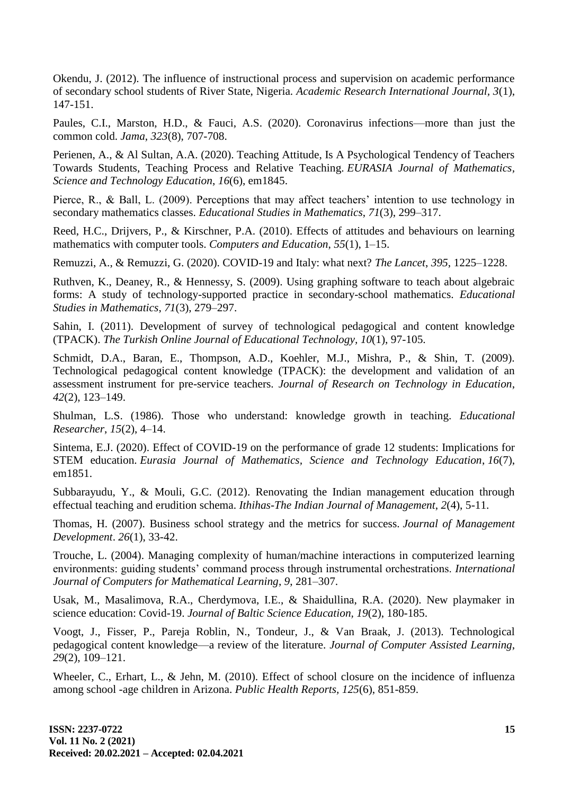Okendu, J. (2012). The influence of instructional process and supervision on academic performance of secondary school students of River State, Nigeria. *Academic Research International Journal, 3*(1), 147-151.

Paules, C.I., Marston, H.D., & Fauci, A.S. (2020). Coronavirus infections—more than just the common cold. *Jama*, *323*(8), 707-708.

Perienen, A., & Al Sultan, A.A. (2020). Teaching Attitude, Is A Psychological Tendency of Teachers Towards Students, Teaching Process and Relative Teaching. *EURASIA Journal of Mathematics, Science and Technology Education*, *16*(6), em1845.

Pierce, R., & Ball, L. (2009). Perceptions that may affect teachers' intention to use technology in secondary mathematics classes. *Educational Studies in Mathematics*, *71*(3), 299–317.

Reed, H.C., Drijvers, P., & Kirschner, P.A. (2010). Effects of attitudes and behaviours on learning mathematics with computer tools. *Computers and Education*, *55*(1), 1–15.

Remuzzi, A., & Remuzzi, G. (2020). COVID-19 and Italy: what next? *The Lancet*, *395*, 1225–1228.

Ruthven, K., Deaney, R., & Hennessy, S. (2009). Using graphing software to teach about algebraic forms: A study of technology-supported practice in secondary-school mathematics. *Educational Studies in Mathematics*, *71*(3), 279–297.

Sahin, I. (2011). Development of survey of technological pedagogical and content knowledge (TPACK). *The Turkish Online Journal of Educational Technology, 10*(1), 97-105.

Schmidt, D.A., Baran, E., Thompson, A.D., Koehler, M.J., Mishra, P., & Shin, T. (2009). Technological pedagogical content knowledge (TPACK): the development and validation of an assessment instrument for pre-service teachers. *Journal of Research on Technology in Education*, *42*(2), 123–149.

Shulman, L.S. (1986). Those who understand: knowledge growth in teaching. *Educational Researcher*, *15*(2), 4–14.

Sintema, E.J. (2020). Effect of COVID-19 on the performance of grade 12 students: Implications for STEM education. *Eurasia Journal of Mathematics, Science and Technology Education*, *16*(7), em1851.

Subbarayudu, Y., & Mouli, G.C. (2012). Renovating the Indian management education through effectual teaching and erudition schema. *Ithihas-The Indian Journal of Management*, *2*(4), 5-11.

Thomas, H. (2007). Business school strategy and the metrics for success. *Journal of Management Development*. *26*(1), 33-42.

Trouche, L. (2004). Managing complexity of human/machine interactions in computerized learning environments: guiding students' command process through instrumental orchestrations. *International Journal of Computers for Mathematical Learning*, *9*, 281–307.

Usak, M., Masalimova, R.A., Cherdymova, I.E., & Shaidullina, R.A. (2020). New playmaker in science education: Covid-19. *Journal of Baltic Science Education, 19*(2), 180-185.

Voogt, J., Fisser, P., Pareja Roblin, N., Tondeur, J., & Van Braak, J. (2013). Technological pedagogical content knowledge—a review of the literature. *Journal of Computer Assisted Learning*, *29*(2), 109–121.

Wheeler, C., Erhart, L., & Jehn, M. (2010). Effect of school closure on the incidence of influenza among school -age children in Arizona. *Public Health Reports, 125*(6), 851-859.